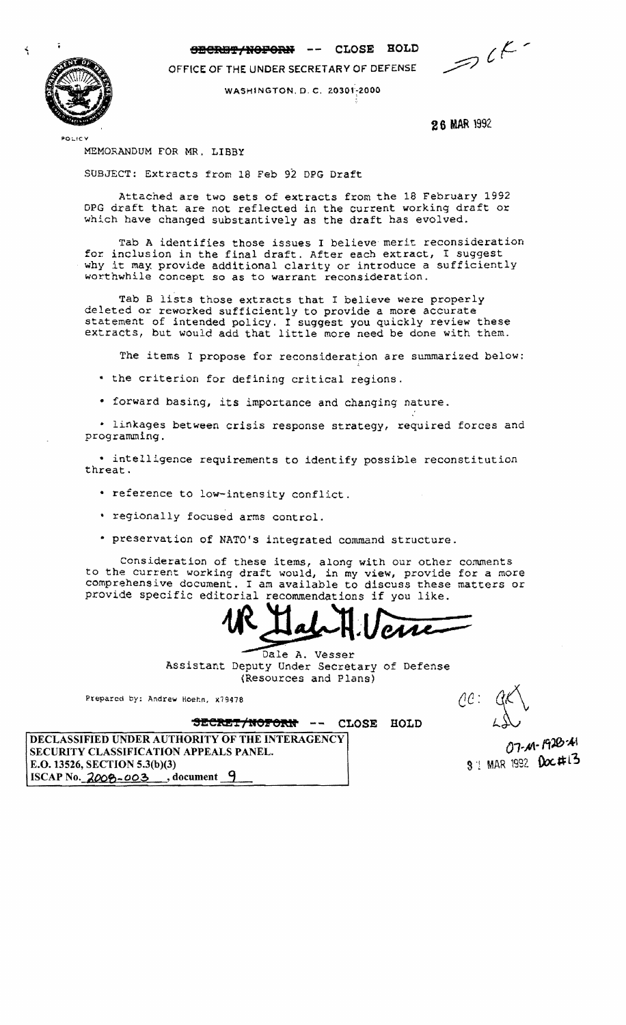8ECRET/NOPORN -- CLOSE HOLD



OFFICE OF THE UNDER SECRETARY OF DEFENSE

WASHINGTON, D. C. 20301-2000

 $\mathcal{D}^{(k)}$ 

26 MAR 1992

MEMORANDUM FOR MR. LIBBY

SOBJECT: Extracts from 18 Feb 92 DPG Draft

Attached are two sets of extracts from the 18 February 1992 DPG draft that are not reflected in the current working draft or which have changed substantively as the draft has evolved.

Tab A identifies those issues I believe merit reconsideration for inclusion in the final draft. After each extract, I suggest why it may provide additional clarity or introduce a sufficiently worthwhile concept so as to warrant reconsideration.

Tab B lists those extracts that I believe were properly deleted or reworked sufficiently to provide a more accurate statement of intended policy. I suggest you quickly review these extracts, but would add that little more need be done with them.

The items 1 propose for reconsideration are summarized below:

- the criterion for defining critical regions.
- forward basing, its importance and changing nature.

• linkages between crisis response strategy, required forces and programming.

• intelligence requirements to identify possible reconstitution threat.

- reference to low-intensity conflict.
- regionally focused arms control.
- preservation of NATO's integrated command structure.

Consideration of these items, along with our other comments to the current working draft WOUld, in my view, provide for a more comprehensive document. I am available to discuss these matters or provide specific editorial recommendations if you like.

1R Agh Vene

Dale A. Vasser Assistant Deputy Under Secretary of Defense (Resources and Plans)

Prepared by: Andrew Hoehn, x79478  $\theta$   $\in$   $\mathbb{C}$   $\in$   $\mathbb{C}$   $\in$   $\mathbb{C}$   $\in$   $\mathbb{C}$   $\in$   $\mathbb{C}$   $\in$   $\mathbb{C}$   $\in$   $\mathbb{C}$   $\in$   $\mathbb{C}$   $\in$   $\mathbb{C}$   $\in$   $\mathbb{C}$   $\in$   $\mathbb{C}$   $\in$   $\mathbb{C}$   $\in$   $\mathbb{C}$ 

SECRET/NOFORN CLOSE BOLD

| <b>DECLASSIFIED UNDER AUTHORITY OF THE INTERAGENCY</b> |
|--------------------------------------------------------|
| <b>SECURITY CLASSIFICATION APPEALS PANEL.</b>          |
| E.O. 13526, SECTION 5.3(b)(3)                          |
| $\sqrt{15CAP No. }200\% - 003$ , document 9            |

D<sub>7</sub>,A. 1928.41<br>8:1. MAR 1992 Doc#13

 $\leq$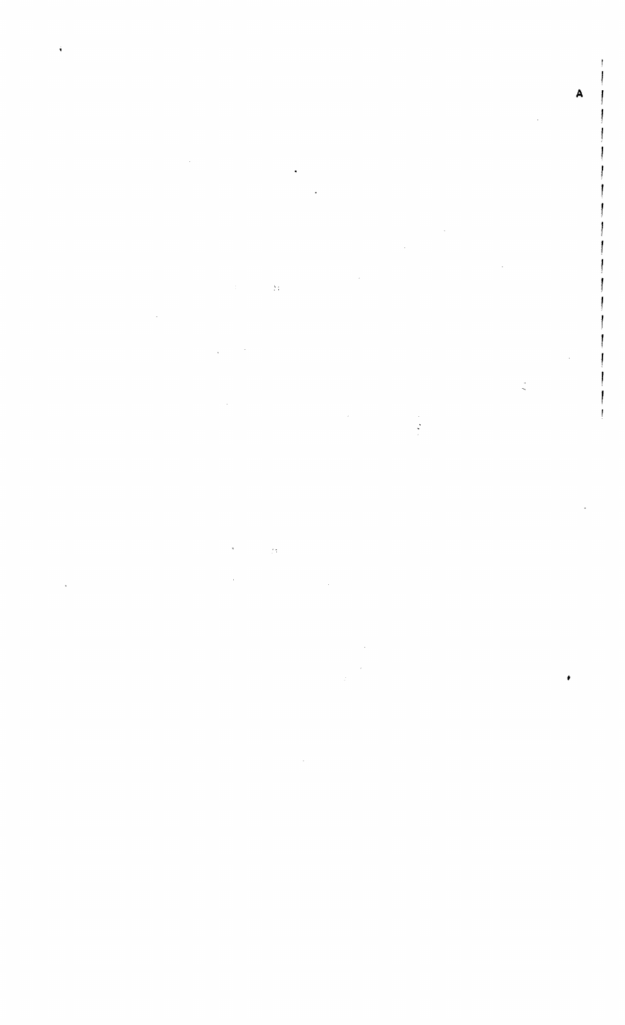$\widetilde{\Psi}$  and  $\widetilde{\Psi}$  and  $\widetilde{\Psi}$ 

 $\label{eq:2.1} \frac{1}{\sqrt{2}}\int_{\mathbb{R}^3}\frac{1}{\sqrt{2}}\left(\frac{1}{\sqrt{2}}\right)^2\frac{1}{\sqrt{2}}\left(\frac{1}{\sqrt{2}}\right)^2\frac{1}{\sqrt{2}}\left(\frac{1}{\sqrt{2}}\right)^2\frac{1}{\sqrt{2}}\left(\frac{1}{\sqrt{2}}\right)^2.$  $\label{eq:2.1} \frac{1}{\sqrt{2\pi}}\left(\frac{1}{\sqrt{2\pi}}\right)^{1/2}\left(\frac{1}{\sqrt{2\pi}}\right)^{1/2}\left(\frac{1}{\sqrt{2\pi}}\right)^{1/2}\left(\frac{1}{\sqrt{2\pi}}\right)^{1/2}\left(\frac{1}{\sqrt{2\pi}}\right)^{1/2}\left(\frac{1}{\sqrt{2\pi}}\right)^{1/2}\left(\frac{1}{\sqrt{2\pi}}\right)^{1/2}\left(\frac{1}{\sqrt{2\pi}}\right)^{1/2}\left(\frac{1}{\sqrt{2\pi}}\right)^{1/2}\left(\frac{1}{\sqrt{$  $\mathcal{L}^{\text{max}}_{\text{max}}$ 

 $\mathcal{L}(\mathcal{L}^{\mathcal{L}})$  and  $\mathcal{L}(\mathcal{L}^{\mathcal{L}})$  and  $\mathcal{L}(\mathcal{L}^{\mathcal{L}})$  and  $\mathcal{L}(\mathcal{L}^{\mathcal{L}})$  $\label{eq:2.1} \frac{1}{\sqrt{2}}\int_{\mathbb{R}^3}\frac{1}{\sqrt{2}}\left(\frac{1}{\sqrt{2}}\right)^2\frac{1}{\sqrt{2}}\left(\frac{1}{\sqrt{2}}\right)^2\frac{1}{\sqrt{2}}\left(\frac{1}{\sqrt{2}}\right)^2.$  $\mathcal{L}_{\text{max}}$  and  $\mathcal{L}_{\text{max}}$  $\label{eq:2.1} \mathcal{L}(\mathcal{L}^{\text{max}}_{\mathcal{L}^{\text{max}}_{\mathcal{L}^{\text{max}}_{\mathcal{L}^{\text{max}}_{\mathcal{L}^{\text{max}}_{\mathcal{L}^{\text{max}}_{\mathcal{L}^{\text{max}}_{\mathcal{L}^{\text{max}}_{\mathcal{L}^{\text{max}}_{\mathcal{L}^{\text{max}}_{\mathcal{L}^{\text{max}}_{\mathcal{L}^{\text{max}}_{\mathcal{L}^{\text{max}}_{\mathcal{L}^{\text{max}}_{\mathcal{L}^{\text{max}}_{\mathcal{L}^{\text{$ 

 $\mathcal{L}^{\mathcal{L}}(\mathcal{L}^{\mathcal{L}})$  and  $\mathcal{L}^{\mathcal{L}}(\mathcal{L}^{\mathcal{L}})$  and  $\mathcal{L}^{\mathcal{L}}(\mathcal{L}^{\mathcal{L}})$  $\zeta$  . 

 $\label{eq:2.1} \frac{1}{2} \int_{\mathbb{R}^3} \frac{1}{\sqrt{2\pi}} \int_{\mathbb{R}^3} \frac{1}{\sqrt{2\pi}} \int_{\mathbb{R}^3} \frac{1}{\sqrt{2\pi}} \int_{\mathbb{R}^3} \frac{1}{\sqrt{2\pi}} \int_{\mathbb{R}^3} \frac{1}{\sqrt{2\pi}} \int_{\mathbb{R}^3} \frac{1}{\sqrt{2\pi}} \int_{\mathbb{R}^3} \frac{1}{\sqrt{2\pi}} \int_{\mathbb{R}^3} \frac{1}{\sqrt{2\pi}} \int_{\mathbb{R}^3}$  $\label{eq:2.1} \mathcal{L}(\mathcal{L}(\mathcal{L})) = \mathcal{L}(\mathcal{L}(\mathcal{L})) = \mathcal{L}(\mathcal{L}(\mathcal{L})) = \mathcal{L}(\mathcal{L}(\mathcal{L})) = \mathcal{L}(\mathcal{L}(\mathcal{L})) = \mathcal{L}(\mathcal{L}(\mathcal{L})) = \mathcal{L}(\mathcal{L}(\mathcal{L})) = \mathcal{L}(\mathcal{L}(\mathcal{L})) = \mathcal{L}(\mathcal{L}(\mathcal{L})) = \mathcal{L}(\mathcal{L}(\mathcal{L})) = \mathcal{L}(\mathcal{L}(\mathcal{L})) = \math$  $\label{eq:2.1} \frac{1}{2} \sum_{i=1}^n \frac{1}{2} \sum_{j=1}^n \frac{1}{2} \sum_{j=1}^n \frac{1}{2} \sum_{j=1}^n \frac{1}{2} \sum_{j=1}^n \frac{1}{2} \sum_{j=1}^n \frac{1}{2} \sum_{j=1}^n \frac{1}{2} \sum_{j=1}^n \frac{1}{2} \sum_{j=1}^n \frac{1}{2} \sum_{j=1}^n \frac{1}{2} \sum_{j=1}^n \frac{1}{2} \sum_{j=1}^n \frac{1}{2} \sum_{j=1}^n \frac{$ 

 $\label{eq:2.1} \begin{split} \mathcal{L}_{\text{max}}(\mathbf{r}) & = \frac{1}{2} \sum_{i=1}^{N} \mathcal{L}_{\text{max}}(\mathbf{r}) \mathcal{L}_{\text{max}}(\mathbf{r}) \\ & = \frac{1}{2} \sum_{i=1}^{N} \mathcal{L}_{\text{max}}(\mathbf{r}) \mathcal{L}_{\text{max}}(\mathbf{r}) \mathcal{L}_{\text{max}}(\mathbf{r}) \mathcal{L}_{\text{max}}(\mathbf{r}) \mathcal{L}_{\text{max}}(\mathbf{r}) \mathcal{L}_{\text{max}}(\mathbf{r}) \mathcal{L}_{\text{max}}(\mathbf$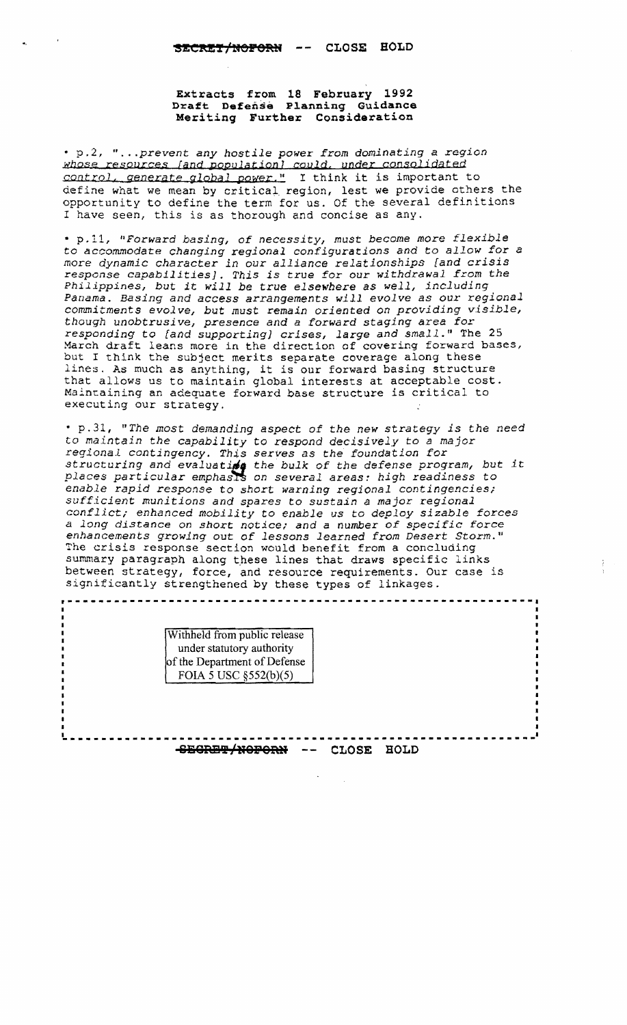**Extracts from 18 February 1992 Draft Defense Planning Guidance Meriting Further Consideration** 

• p.2, n • •• *prevent any hostile power from dominating* a *region*   $w$ hose resources *[and population] could. under consolidated control, generate global power.*" I think it is important to define what we mean by critical region, lest we provide others the opportunity to define the term for us. Of the several definitions I have seen, this is as thorough and concise as any.

• p .11, *"Forward basing, of necessity,* must *become more flexible*  to accom~odate *changing regional configurations and* to *allow for* a *more dynamic character in* our *alliance relationships [and crisis response capabilities]. This is* true for our *withdrawal from the Philippines, but it will* be *true elsewhere as well, including Panama. Basing and access arrangements will evolve as our regional commitments evolve, but must remain oriented on providing visible, though unobtrusive, presence* and a *forward staging* area *for*  responding to *[and supporting] crises, large and small*." The 25 March draft leans more in the direction of covering forward bases, but I think the subject merits separate coverage along these but I think the subject mellts separate coverage along these<br>lines. As much as anything, it is our forward basing structure that allows us to maintain global interests at acceptable cost. Maintaining an adequate forward base structure is critical to executing our strategy.

• p. 31, *"The most demanding aspect of the new strategy is the need*  to *maintain the capability* to *respond decisively* to *a major*  regional contingency. This serves as the foundation for regional contingency. This serves as the roundation for<br>structuring and evaluati**on** the bulk of the defense program, but it places particular emphasis on several areas: high readiness to *enable rapid* response to *short warning regional contingencies; suff.icient munitions and spares* to *sustain a major regional conflict; enhanced mobility to enable uS to deploy sizable forces*  <sup>a</sup>*long distance* on short *notice; and* a number *of specific force enhancements growing out of lessons learned from Desert Storm.* <sup>U</sup> The crisis response section would benefit from a concluding summary paragraph along these lines that draws specific links between strategy, force, and resource requirements. Our case is significantly strengthened by these types of linkages.

**------------------------------------------.\_.\_-------------**

Withheld from public release under statutory authority of the Department of Defense FOIA 5 USC §552(b)(5)

### I I  $-$ <del>-SEGRET/NOFORN</del> -- CLOSE BOLD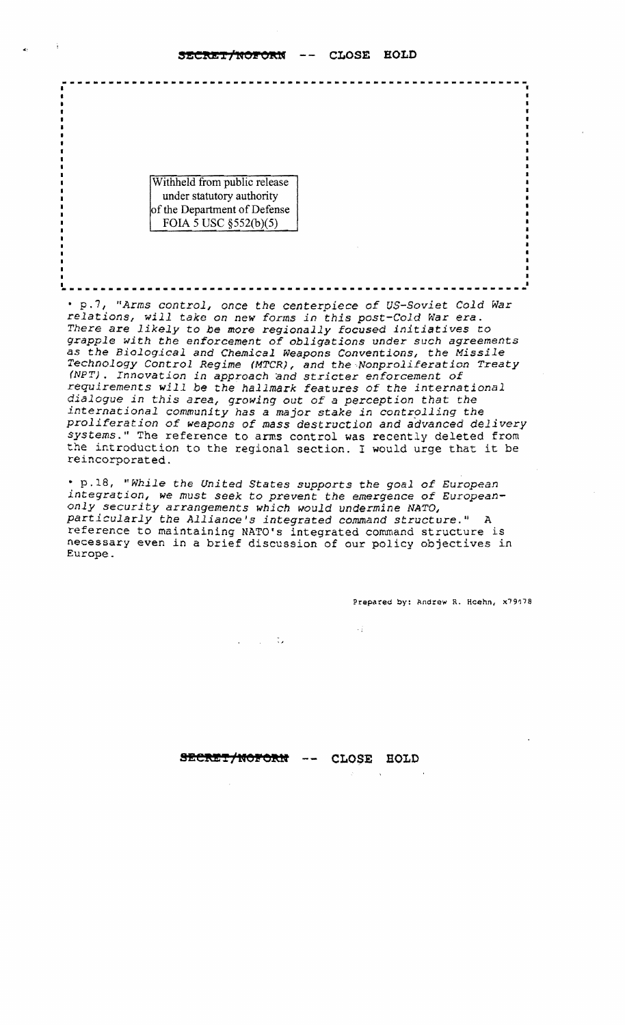**CLOSE BOLD THE WEAR STATE OF A CITY A** 

Withheld from public release under statutory authority of the Department of Defense FOIA 5 USC §552(b)(5)

**------------------------------------------------------------** • p. 7, "Arms *control, once the centerpiece of US-Soviet Cold War relations, will take* on *new forms in this post-Cold War era. There are likely* to *be more regionally focused initiatives* to *grapple with the enforcement of obligations under such agreements* as the Biological and Chemical Weapons Conventions, the Missile *Technology Control Regime (MTCR)* , *and the Nonproliferation Treaty (NPT). Innovation in approach and* stricter *enforcement of requirements will be the hallmark features of the international dialogue in this area, growing out of a perception that the international community has a major stake in controlling the proliferation of weapons* of *mass destruction and advanced delivery systems."* The reference to arms control was recently deleted from the introduction to the regional section. I would urge that it be reincorporated.

I and the contract of the contract of the contract of the contract of the contract of the contract of the contract of

\* p.18, "While the United States supports the goal of European *integration; we must seek* to *prevent the emergence of European* only security arrangements which would undermine NATO, *particularly the Alliance'S integrated command* structure." A reference to maintaining NATO's integrated command structure is necessary even in a brief discussion of our policy objectives in Europe.

 $\sim$  35

Prepared by: Andrew R. Hoehn, x79478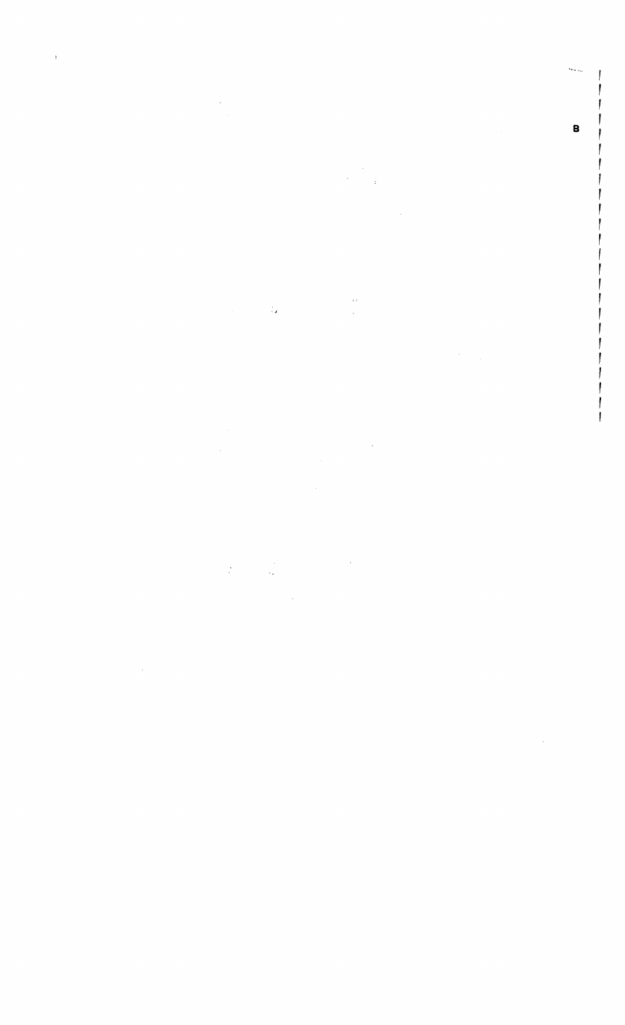8 

 $\label{eq:2.1} \frac{1}{\sqrt{2}}\int_{0}^{\infty}\frac{1}{\sqrt{2\pi}}\left(\frac{1}{\sqrt{2\pi}}\right)^{2\alpha} \frac{1}{\sqrt{2\pi}}\int_{0}^{\infty}\frac{1}{\sqrt{2\pi}}\left(\frac{1}{\sqrt{2\pi}}\right)^{\alpha} \frac{1}{\sqrt{2\pi}}\frac{1}{\sqrt{2\pi}}\int_{0}^{\infty}\frac{1}{\sqrt{2\pi}}\frac{1}{\sqrt{2\pi}}\frac{1}{\sqrt{2\pi}}\frac{1}{\sqrt{2\pi}}\frac{1}{\sqrt{2\pi}}\frac{1}{\sqrt{2\pi}}$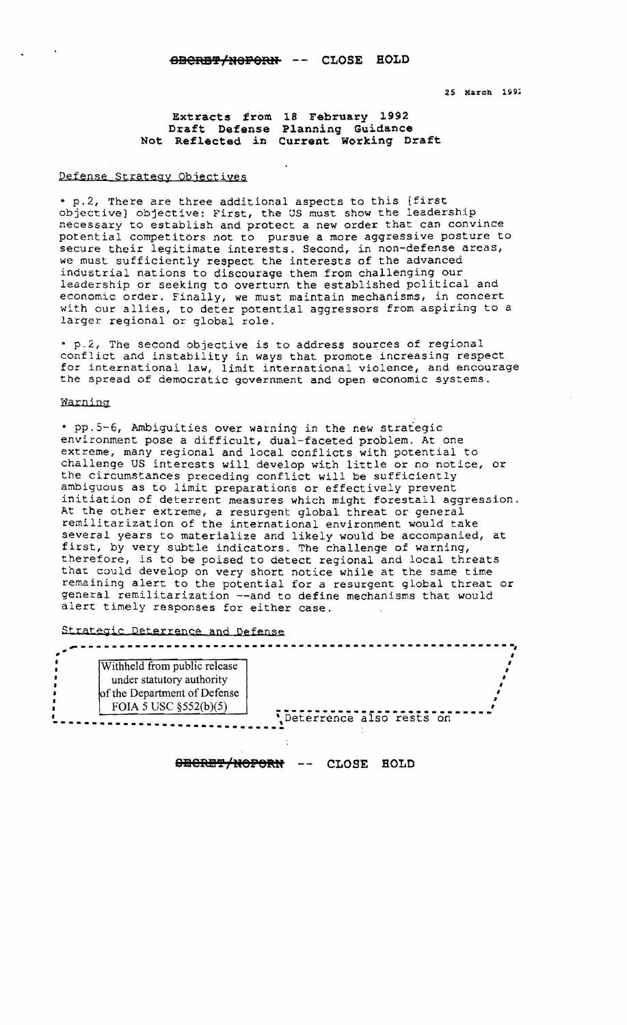# **CROBBT/NOFORN -- CLOSE HOLD**

25 March 1992

**Extracts from 18 February 1992 Draft Defense Planning Guidance Not Reflected in Current working Draft** 

## Defense Strategy Objectives

• p.2, There are three additional aspects to this [first objective) objective: First, the US must show the leadership necessary to establish and protect a new order that can convince potential competitors not to pursue a more aggressive posture to secure their legitimate interests. Second, in non-defense areas, we must sufficiently respect the interests of the advanced industrial nations to discourage them from challenging our leadership or seeking to overturn the established political and economic order. Finally, we must maintain mechanisms, in concert with our allies, to deter potential aggressors from aspiring to a larger regional or global role.

• p.2, The second objective is to address sources of regional conflict and instability in ways that promote increasing respect for international law, limit international violence, and encourage the spread of democratic government and open economic systems.

### Warning

• pp.5-6, Ambiguities over warning in the new strategic environment pose a difficult, dual-faceted problem. At one extreme, many regional and local conflicts with potential to challenge US interests will develop with little or no notice, or the circumstances preceding conflict will be sufficiently ambiguous as to limit preparations or effectively prevent initiation of deterrent measures which might forestall aggression. At the other extreme, a resurgent global threat or general remilitarization of the international environment would take several years to materialize and likely would be accompanied, at first, by very subtle indicators. The challenge of warning, therefore, is to be poised to detect regional and local threats that could develop on very short notice while at the same time remaining alert to the potential for a resurgent global threat or general remilitarization --and to define mechanisms that would alert timely responses for either case.

Strategic Deterrence and Defense

-----------------------------• -~---------------------.----.-------.--------------------~I Withheld from public release *m* under statutory authority of the Department of Defense  $FOLA 5 USC § 552(b)(5).$ *Neterrence* also rests on

**CECRET/NOFORN** -- CLOSE HOLD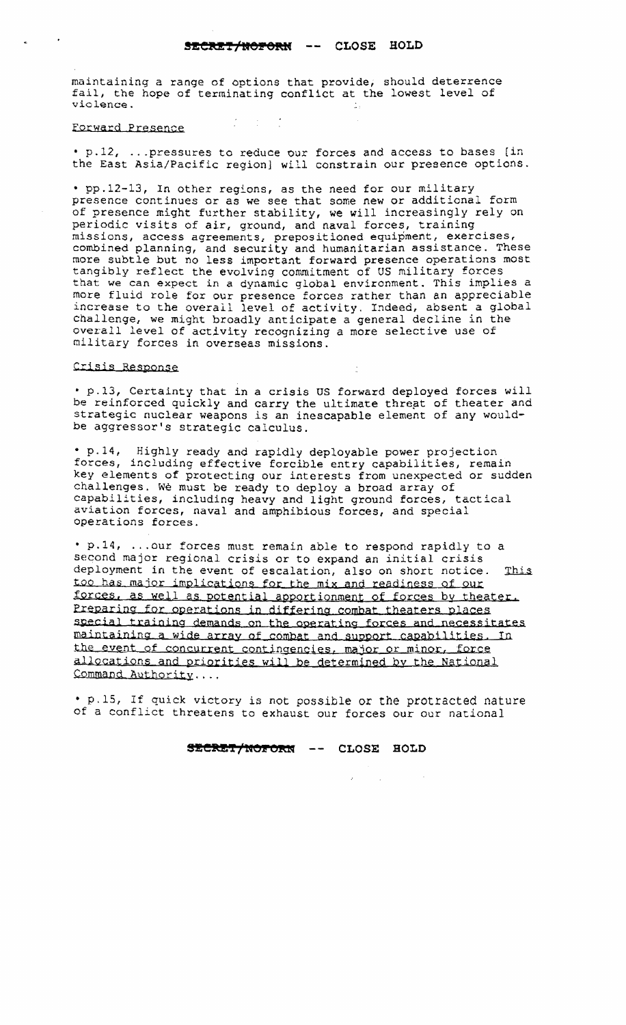maintaining a range of options that provide, should deterrence fail, the hope of terminating conflict at the lowest level of violence.  $\sim 100$ 

 $\label{eq:2} \frac{1}{2} \sum_{i=1}^n \frac{1}{2} \sum_{i=1}^n \frac{1}{2} \sum_{i=1}^n \frac{1}{2} \sum_{i=1}^n \frac{1}{2} \sum_{i=1}^n \frac{1}{2} \sum_{i=1}^n \frac{1}{2} \sum_{i=1}^n \frac{1}{2} \sum_{i=1}^n \frac{1}{2} \sum_{i=1}^n \frac{1}{2} \sum_{i=1}^n \frac{1}{2} \sum_{i=1}^n \frac{1}{2} \sum_{i=1}^n \frac{1}{2} \sum_{i=1}^n \frac{1}{$ 

#### Forward Presence

• p.12, ...pressures to reduce our forces and access to bases [in the East Asia/Pacific region] will constrain our presence options.

• pp.12-13, In other regions, as the need for our military presence continues or as we see that some new or additional form of presence might further stability, we will increasingly rely on periodic visits of air, ground, and naval forces, training missions, access agreements, prepositioned equipment, exercises, combined planning, and security and humanitarian assistance. These more subtle but no less important forward presence operations moet tangibly reflect the evolving commitment of US military forces that we can expect in a dynamic global environment. This implies a more fluid role for our presence forces rather than an appreciable increase to the overall level of activity. Indeed, absent a global challenge, we might broadly anticipate a general decline in the overall level of activity recognizing a more selective use of military forces in overseas missions.

### Crjsis Response

• p.13, Certainty that in a crisis US forward deployed forces will be reinforced quickly and carry the ultimate threat of theater and strategic nuclear weapons is an inescapable element of any wouldbe aggressor's strategic calculus.

• p.14, Highly ready and rapidly deployable power projection forces, including effective forcible entry capabilities, remain key elements of protecting our interests from unexpected or sudden challenges. We must be ready to deploy a broad array of capabilities, including heavy and light ground forces, tactical aviation forces, naval and amphibious forces, and special operations forces.

• p.14, ... our forces must remain able to respond rapidly to a second major regional crisis or to expand an initial crisis deployment in the event of escalation, also on short notice. This too has major implications for the mix and readiness of our forces, as well as potential apportionment of forces by theater. Preparing for operations in differing combat theaters places special training demands on the operating forces and necessitates maintaining a wide array of combat and support capabilities. In the event of concurrent contingencies, major or minor, force allocations and priorities will be determined by the National Command Authority ....

• p.15, If quick victory is not possible or the protracted nature of a conflict threatens to exhaust our forces our our national

SE<del>CRET/NOFORN</del> -- CLOSE HOLD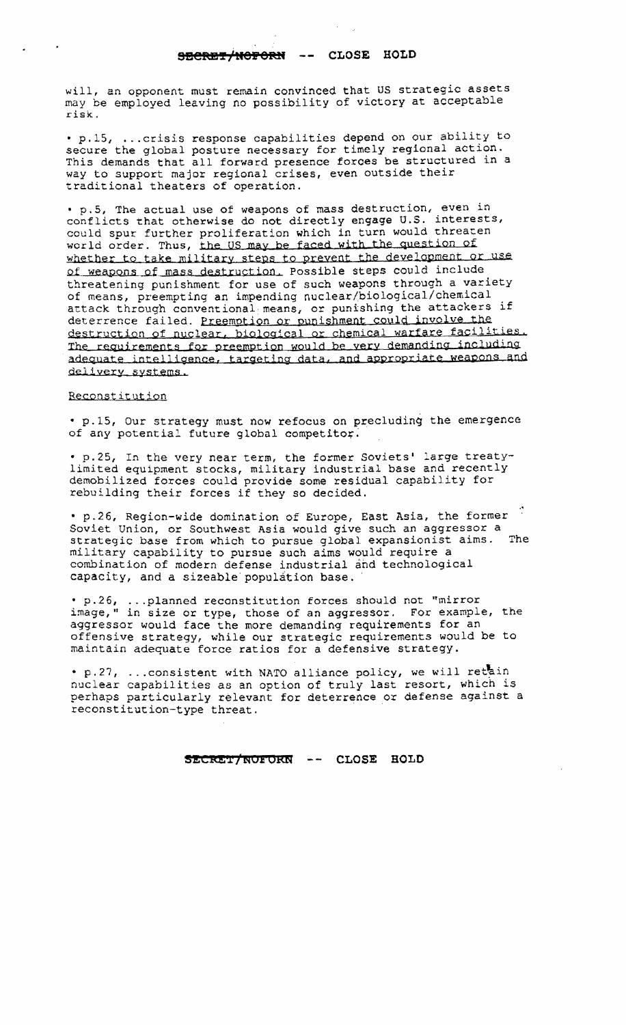will, an opponent must remain convinced that US strategic assets may be employed leaving no possibility of victory at acceptable risk..

• p.15, ... crisis response capabilities depend on our ability to secure the global posture necessary for timely regional action. This demands that all forward presence foroes be structured in a way to support major regional crises, even outside their traditional theaters of operation.

• p.5, The actual use of weapons of mass destruction, even in conflicts that otherwise do not directly engage U.S. interests, could spur further proliferation which in turn would threaten world order. Thus, the US may be faced with the question of whether to take military steps to prevent the development or use of weapons of mass destruction. Possible steps could include threatening punishment for use of such weapons through a variety of means, preempting an impending nuclear/biological/chemical attack through conventional means, or punishing the attackers if deterrence failed. Preemotion or punishment could involve the destruction of nuclear, biological or chemical watfare facilities. The requirements for preemption would be very demanding including adequate intelligence, targeting data, and appropriate weapons and delivery systems.

#### Reconstitution

• p.1S, Our strategy must now refocus on precludin9 the emergence of any potential future global competitor.

• p.25, In the very near term, the former Soviets' large treaty limited equipment stocks, military industrial base and recently demobilized forces could provide some residual capability for rebuilding their forces if they so decided.

• p.26, Region-wide domination of Europe, East Asia, the former Soviet Union, or Southwest Asia would give such an aggressor a strategic base from which to pursue global expansionist aims. The military capability to pursue such aims would require a combination of modern defense industrial and technological capacity, and a sizeable population base.

• p.26, ... planned reconstitution forces should not "mirror image," in size or type, those of an aggressor. For example, the aggressor would face the more demanding requirements for an offensive strategy, while our strategic requirements would be to maintain adequate force ratios for a defensive strategy.

• p.27,  $\ldots$  consistent with NATO alliance policy, we will retain nuclear capabilities as an option of truly last resort, which is perhaps particularly relevant for deterrence or defense against a reconstitution-type threat. '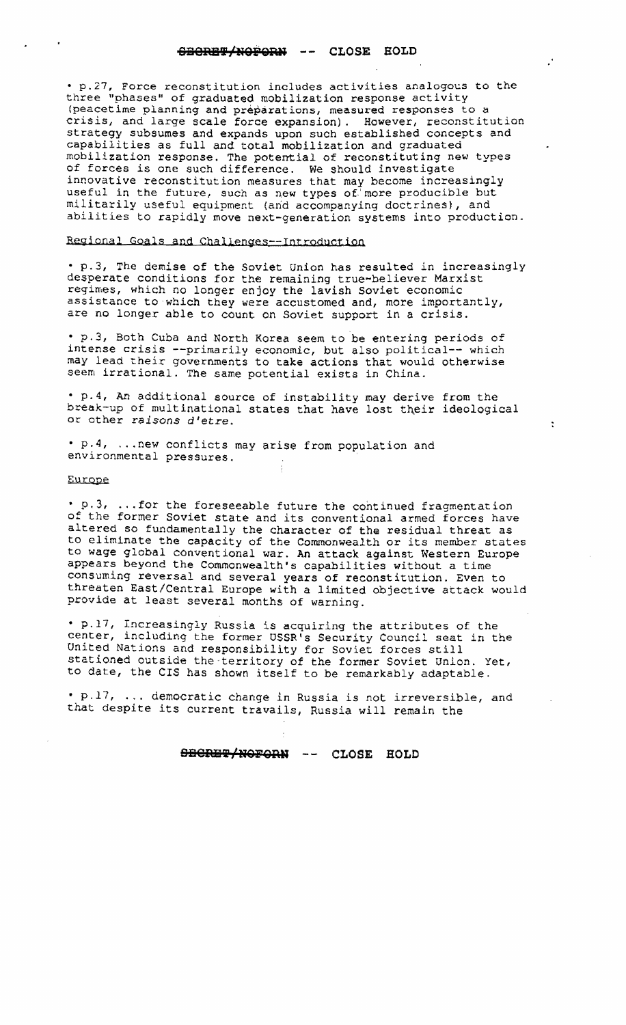### CECRET/NOFORN -- CLOSE EOLD

 $•$  p.27, Force reconstitution includes activities analogous to the three "phases" of graduated mobilization response activity (peacetime planning and preparations, measured responses to a crisis, and large scale force expansion). However, reconstitution strategy subsumes and expands upon such established concepts and capabilities as full and total mobilization and graduated mobilization response. The potential of reconstituting new types of forces is one such difference. We should investigate innovative reconstitution measures that may become increasingly useful in the future, such as new types of more producible but militarily useful equipment (and accompanying doctrines), and abilities to rapidly move next-generation systems into production.

# Regional Goals and Challenges--Introduction

• p.3, The demise of the Soviet Union has resulted in increasingly desperate conditions for the remaining true-believer Marxist regimes, which no longer enjoy the lavish Soviet economic assistance to which they were accustomed and, more importantly, are no longer able to count on Soviet support in a crisis.

*• p.3,* Both Cuba and North Korea seem to be entering periods of intense crisis --primarily economic, but also political-- which may lead their governments to take actions that would otherwise seem irrational. The same potential exists in China.

• p.4, An additional source of instability may derive from the break-up of multinational states that have lost their ideological or other raisons d'etre.

• p.4, ... new conflicts may arise from population and environmental pressures.

#### Europe

 $\cdot$  p.3, ...for the foreseeable future the continued fragmentation of the former Soviet state and its conventional armed forces have altered so fundamentally the character of the residual threat as to eliminate the capacity of the Commonwealth or its member states to wage global conventional war. An attack against Western Europe appears beyond the Commonwealth's capabilities without a time consuming reversal and several years of reconstitution. Even to threaten East/Central Europe with a limited objective attack would provide at least several months of warning.

• p.l?, Increasingly RUssia is acquiring the attributes of the center, including the former USSR's Security Council seat in the United Nations and responsibility for Soviet forces still stationed outside the territory of the former Soviet Union. Yet, to date, the CIS has shown itself to be remarkably adaptable.

• p.l?, ... democratic change *in* Russia is not irreversible, and that despite its current travails, Russia will remain the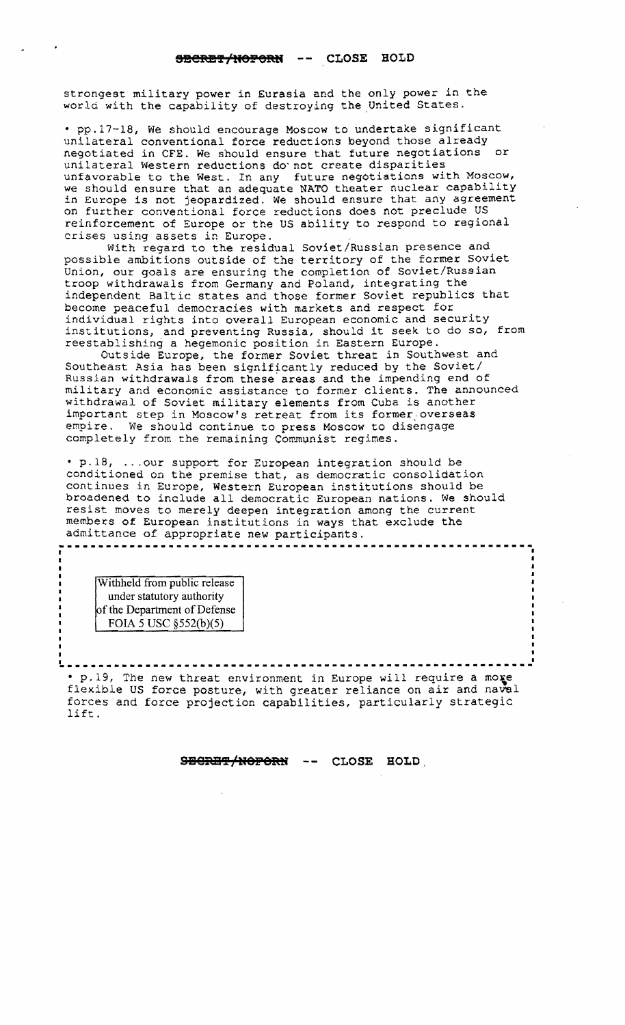strongest military power in Eurasia and the only power in the world with the capability of destroying the United States.

• pp.17-l8, We should encourage Moscow to undertake significant unilateral conventional force reductions beyond those already negotiated in CFE. We should ensure that future negotiations or unilateral Western reductions do' not create disparities unfavorable to the West. In any future negotiations with Moscow, we should ensure that an adequate NATO theater nuclear capability in Europe is not jeopardized. We should ensure that any agreement on further conventional force reductions does not preclude US reinforcement of Europe or the US ability to respond to regional crises using assets in Europe.

With regard to the residual Soviet/Russian presence and possible ambitions outside of the territory of the former Soviet Union, our goals are ensuring the completion of Soviet/Russian troop withdrawals from Germany and Poland, integrating the independent Baltic states and those former Soviet republics that become peaceful democracies with markets and respect for individual rights into overall European economic and security institutions, and preventing Russia, should it seek to do so, from reestablishing a hegemonic position in Eastern Europe.

Outside Europe, the former Soviet threat in Southwest and Southeast Asia has been significantly reduced by the Soviet/ Russian withdrawals from these areas and the impending end of military and economic assistance to former clients. The announced withdrawal of Soviet military elements from Cuba is another important step in Moscow's retreat from its former overseas empire. We should continue to press Moscow to disengage completely from the remaining Communist regimes.

members of European institutions in ways that exclude the admittance of appropriate new participants. • p.lS, ... our support for European integration should be conditioned on the premise that, as democratic consolidation continues in Europe, Western European institutions should be broadened to include all democratic European nations. We should resist moves to merely deepen integration among the current

**-------------------------------\_ ... \_------------------------**

Withheld from public release under statutory authority of the Department of Defense FOIA 5 USC §552(b)(5)

**-------------------------------------------------------------** I I • p.19, The new threat environment in Europe will require a moxe flexible US force posture, with greater reliance on air and naval forces and force projection capabilities, particularly strategic lift.

> <del>SECRET/NOFORN</del> **CLOSE BOLO,**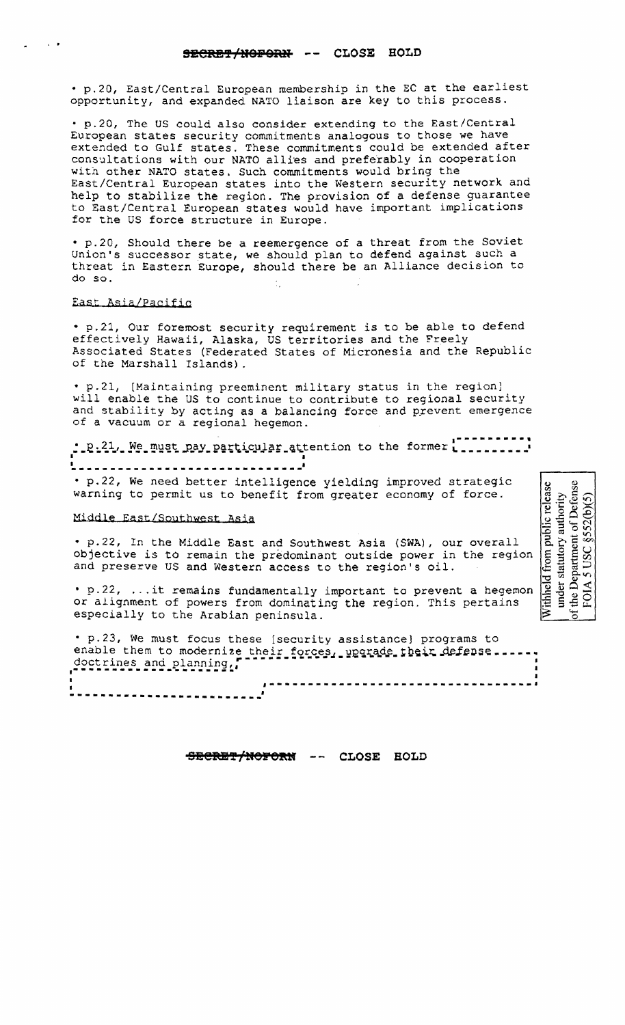. p.20, East/Central European membership in the EC at the earliest opportunity, and expanded NATO liaison are key to this process.

. p.20, The US could also consider extending to the East/Central European states security commitments analogous to those we have extended to Gulf states. These commitments could be extended after consultations with our NATO allies and preferably in cooperation with other NATO states, Such commitments would bring the East/Central European states into the Western security network and help to stabilize the region. The provision of a defense guarantee to East/Central European states would have important implications for the US force structure in Europe.

. p.20, Should there be a reemergence of a threat from the Soviet Union's successor state, we should plan to defend against such a threat in Eastern Europe, should there be an Alliance decision to do so.

# East Asia/Pacific

. p.21, Our foremost security requirement is to be able to defend effectively Hawaii, Alaska, US territories and the Freely Associated States (Federated States of Micronesia and the Republic of the Marshall Islands).

. p.21, [Maintaining preeminent military status in the region] will enable the US to continue to contribute to regional security and stability by acting as a balancing force and prevent emergence of a vacuum or a regional hegemon.

: P.21, We must pay particular attention to the former i.........

. p.22, We need better intelligence yielding improved strategic warning to permit us to benefit from greater economy of force.

#### Middle East/Southwest Asia

. p.22, In the Middle East and Southwest Asia (SWA), our overall objective is to remain the predominant outside power in the region and preserve US and Western access to the region's oil.

. p.22, ... it remains fundamentally important to prevent a hegemon or alignment of powers from dominating the region. This pertains especially to the Arabian peninsula.

\* p.23, We must focus these [security assistance] programs to enable them to modernize their forces, upgrade their defense...... doctrines and planning,

under statutory authority<br>of the Department of Defense<br>FOIA 5 USC  $$520(b)(5)$ Withheld from public release